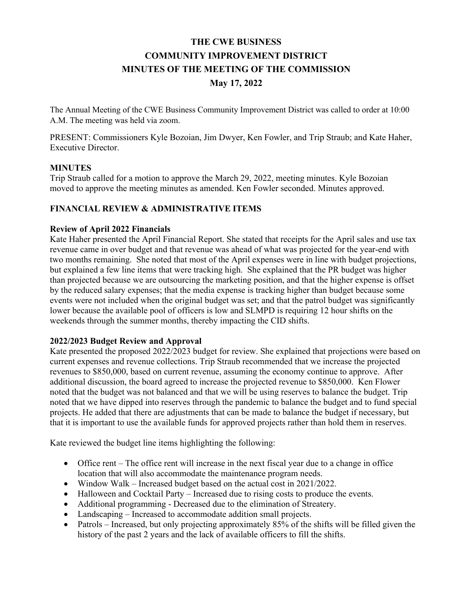# **THE CWE BUSINESS COMMUNITY IMPROVEMENT DISTRICT MINUTES OF THE MEETING OF THE COMMISSION May 17, 2022**

The Annual Meeting of the CWE Business Community Improvement District was called to order at 10:00 A.M. The meeting was held via zoom.

PRESENT: Commissioners Kyle Bozoian, Jim Dwyer, Ken Fowler, and Trip Straub; and Kate Haher, Executive Director.

#### **MINUTES**

Trip Straub called for a motion to approve the March 29, 2022, meeting minutes. Kyle Bozoian moved to approve the meeting minutes as amended. Ken Fowler seconded. Minutes approved.

## **FINANCIAL REVIEW & ADMINISTRATIVE ITEMS**

#### **Review of April 2022 Financials**

Kate Haher presented the April Financial Report. She stated that receipts for the April sales and use tax revenue came in over budget and that revenue was ahead of what was projected for the year-end with two months remaining. She noted that most of the April expenses were in line with budget projections, but explained a few line items that were tracking high. She explained that the PR budget was higher than projected because we are outsourcing the marketing position, and that the higher expense is offset by the reduced salary expenses; that the media expense is tracking higher than budget because some events were not included when the original budget was set; and that the patrol budget was significantly lower because the available pool of officers is low and SLMPD is requiring 12 hour shifts on the weekends through the summer months, thereby impacting the CID shifts.

#### **2022/2023 Budget Review and Approval**

Kate presented the proposed 2022/2023 budget for review. She explained that projections were based on current expenses and revenue collections. Trip Straub recommended that we increase the projected revenues to \$850,000, based on current revenue, assuming the economy continue to approve. After additional discussion, the board agreed to increase the projected revenue to \$850,000. Ken Flower noted that the budget was not balanced and that we will be using reserves to balance the budget. Trip noted that we have dipped into reserves through the pandemic to balance the budget and to fund special projects. He added that there are adjustments that can be made to balance the budget if necessary, but that it is important to use the available funds for approved projects rather than hold them in reserves.

Kate reviewed the budget line items highlighting the following:

- Office rent The office rent will increase in the next fiscal year due to a change in office location that will also accommodate the maintenance program needs.
- Window Walk Increased budget based on the actual cost in 2021/2022.
- Halloween and Cocktail Party Increased due to rising costs to produce the events.
- Additional programming Decreased due to the elimination of Streatery.
- Landscaping Increased to accommodate addition small projects.
- Patrols Increased, but only projecting approximately  $85\%$  of the shifts will be filled given the history of the past 2 years and the lack of available officers to fill the shifts.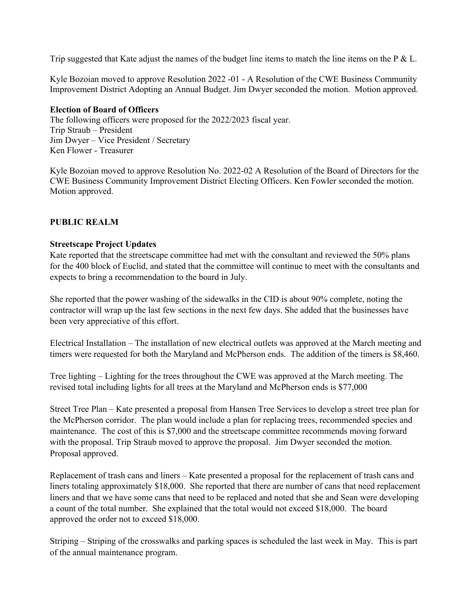Trip suggested that Kate adjust the names of the budget line items to match the line items on the  $P \& L$ .

Kyle Bozoian moved to approve Resolution 2022 -01 - A Resolution of the CWE Business Community Improvement District Adopting an Annual Budget. Jim Dwyer seconded the motion. Motion approved.

#### **Election of Board of Officers**

The following officers were proposed for the 2022/2023 fiscal year. Trip Straub – President Jim Dwyer – Vice President / Secretary Ken Flower - Treasurer

Kyle Bozoian moved to approve Resolution No. 2022-02 A Resolution of the Board of Directors for the CWE Business Community Improvement District Electing Officers. Ken Fowler seconded the motion. Motion approved.

#### **PUBLIC REALM**

#### **Streetscape Project Updates**

Kate reported that the streetscape committee had met with the consultant and reviewed the 50% plans for the 400 block of Euclid, and stated that the committee will continue to meet with the consultants and expects to bring a recommendation to the board in July.

She reported that the power washing of the sidewalks in the CID is about 90% complete, noting the contractor will wrap up the last few sections in the next few days. She added that the businesses have been very appreciative of this effort.

Electrical Installation – The installation of new electrical outlets was approved at the March meeting and timers were requested for both the Maryland and McPherson ends. The addition of the timers is \$8,460.

Tree lighting – Lighting for the trees throughout the CWE was approved at the March meeting. The revised total including lights for all trees at the Maryland and McPherson ends is \$77,000

Street Tree Plan – Kate presented a proposal from Hansen Tree Services to develop a street tree plan for the McPherson corridor. The plan would include a plan for replacing trees, recommended species and maintenance. The cost of this is \$7,000 and the streetscape committee recommends moving forward with the proposal. Trip Straub moved to approve the proposal. Jim Dwyer seconded the motion. Proposal approved.

Replacement of trash cans and liners – Kate presented a proposal for the replacement of trash cans and liners totaling approximately \$18,000. She reported that there are number of cans that need replacement liners and that we have some cans that need to be replaced and noted that she and Sean were developing a count of the total number. She explained that the total would not exceed \$18,000. The board approved the order not to exceed \$18,000.

Striping – Striping of the crosswalks and parking spaces is scheduled the last week in May. This is part of the annual maintenance program.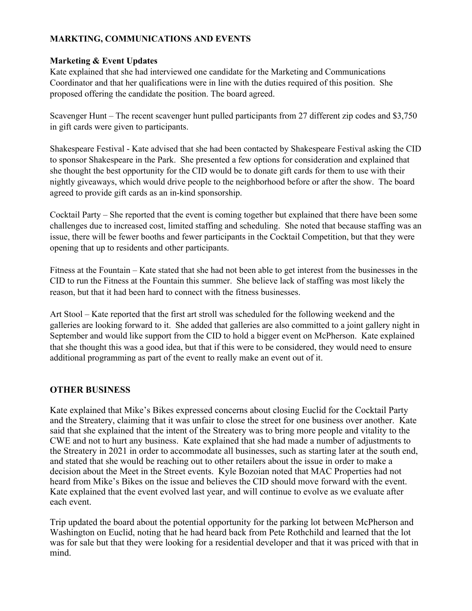## **MARKTING, COMMUNICATIONS AND EVENTS**

## **Marketing & Event Updates**

Kate explained that she had interviewed one candidate for the Marketing and Communications Coordinator and that her qualifications were in line with the duties required of this position. She proposed offering the candidate the position. The board agreed.

Scavenger Hunt – The recent scavenger hunt pulled participants from 27 different zip codes and \$3,750 in gift cards were given to participants.

Shakespeare Festival - Kate advised that she had been contacted by Shakespeare Festival asking the CID to sponsor Shakespeare in the Park. She presented a few options for consideration and explained that she thought the best opportunity for the CID would be to donate gift cards for them to use with their nightly giveaways, which would drive people to the neighborhood before or after the show. The board agreed to provide gift cards as an in-kind sponsorship.

Cocktail Party – She reported that the event is coming together but explained that there have been some challenges due to increased cost, limited staffing and scheduling. She noted that because staffing was an issue, there will be fewer booths and fewer participants in the Cocktail Competition, but that they were opening that up to residents and other participants.

Fitness at the Fountain – Kate stated that she had not been able to get interest from the businesses in the CID to run the Fitness at the Fountain this summer. She believe lack of staffing was most likely the reason, but that it had been hard to connect with the fitness businesses.

Art Stool – Kate reported that the first art stroll was scheduled for the following weekend and the galleries are looking forward to it. She added that galleries are also committed to a joint gallery night in September and would like support from the CID to hold a bigger event on McPherson. Kate explained that she thought this was a good idea, but that if this were to be considered, they would need to ensure additional programming as part of the event to really make an event out of it.

## **OTHER BUSINESS**

Kate explained that Mike's Bikes expressed concerns about closing Euclid for the Cocktail Party and the Streatery, claiming that it was unfair to close the street for one business over another. Kate said that she explained that the intent of the Streatery was to bring more people and vitality to the CWE and not to hurt any business. Kate explained that she had made a number of adjustments to the Streatery in 2021 in order to accommodate all businesses, such as starting later at the south end, and stated that she would be reaching out to other retailers about the issue in order to make a decision about the Meet in the Street events. Kyle Bozoian noted that MAC Properties had not heard from Mike's Bikes on the issue and believes the CID should move forward with the event. Kate explained that the event evolved last year, and will continue to evolve as we evaluate after each event.

Trip updated the board about the potential opportunity for the parking lot between McPherson and Washington on Euclid, noting that he had heard back from Pete Rothchild and learned that the lot was for sale but that they were looking for a residential developer and that it was priced with that in mind.